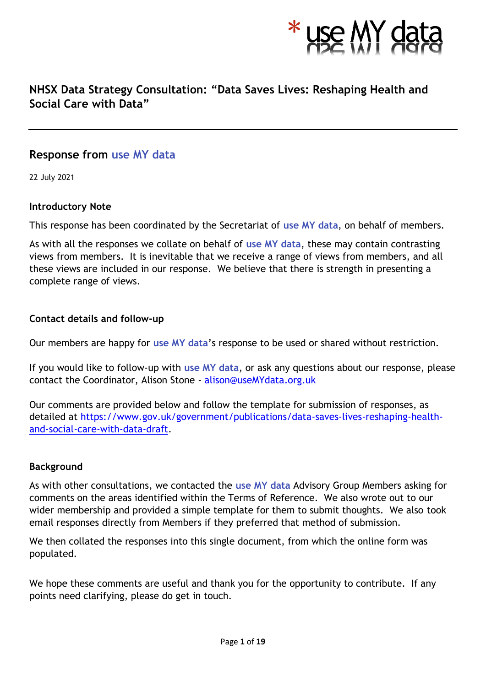

### **NHSX Data Strategy Consultation: "Data Saves Lives: Reshaping Health and Social Care with Data"**

### **Response from use MY data**

22 July 2021

### **Introductory Note**

This response has been coordinated by the Secretariat of **use MY data**, on behalf of members.

As with all the responses we collate on behalf of **use MY data**, these may contain contrasting views from members. It is inevitable that we receive a range of views from members, and all these views are included in our response. We believe that there is strength in presenting a complete range of views.

### **Contact details and follow-up**

Our members are happy for **use MY data**'s response to be used or shared without restriction.

If you would like to follow-up with **use MY data**, or ask any questions about our response, please contact the Coordinator, Alison Stone - [alison@useMYdata.org.uk](mailto:alison@useMYdata.org.uk)

Our comments are provided below and follow the template for submission of responses, as detailed at [https://www.gov.uk/government/publications/data-saves-lives-reshaping-health](https://www.gov.uk/government/publications/data-saves-lives-reshaping-health-and-social-care-with-data-draft)[and-social-care-with-data-draft.](https://www.gov.uk/government/publications/data-saves-lives-reshaping-health-and-social-care-with-data-draft)

### **Background**

As with other consultations, we contacted the **use MY data** Advisory Group Members asking for comments on the areas identified within the Terms of Reference. We also wrote out to our wider membership and provided a simple template for them to submit thoughts. We also took email responses directly from Members if they preferred that method of submission.

We then collated the responses into this single document, from which the online form was populated.

We hope these comments are useful and thank you for the opportunity to contribute. If any points need clarifying, please do get in touch.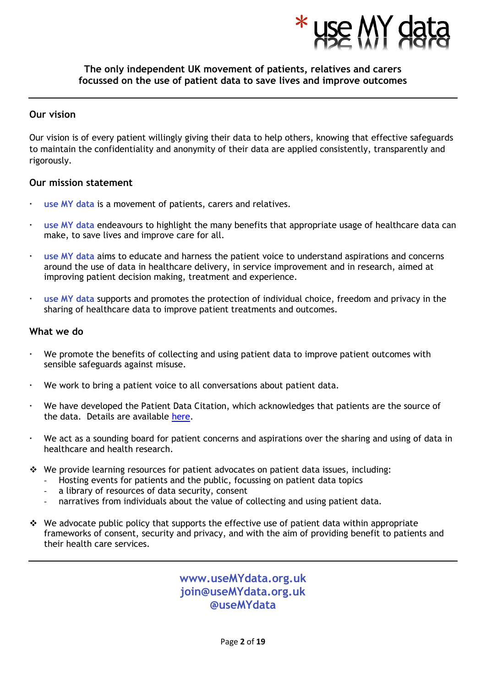

### **The only independent UK movement of patients, relatives and carers focussed on the use of patient data to save lives and improve outcomes**

#### **Our vision**

Our vision is of every patient willingly giving their data to help others, knowing that effective safeguards to maintain the confidentiality and anonymity of their data are applied consistently, transparently and rigorously.

#### **Our mission statement**

- **use MY data** is a movement of patients, carers and relatives.
- **use MY data** endeavours to highlight the many benefits that appropriate usage of healthcare data can make, to save lives and improve care for all.
- **use MY data** aims to educate and harness the patient voice to understand aspirations and concerns around the use of data in healthcare delivery, in service improvement and in research, aimed at improving patient decision making, treatment and experience.
- **use MY data** supports and promotes the protection of individual choice, freedom and privacy in the sharing of healthcare data to improve patient treatments and outcomes.

#### **What we do**

- We promote the benefits of collecting and using patient data to improve patient outcomes with sensible safeguards against misuse.
- We work to bring a patient voice to all conversations about patient data.
- We have developed the Patient Data Citation, which acknowledges that patients are the source of the data. Details are available [here.](http://www.usemydata.org/citation.php)
- We act as a sounding board for patient concerns and aspirations over the sharing and using of data in healthcare and health research.
- ❖ We provide learning resources for patient advocates on patient data issues, including:
	- Hosting events for patients and the public, focussing on patient data topics
	- a library of resources of data security, consent
	- narratives from individuals about the value of collecting and using patient data.
- ❖ We advocate public policy that supports the effective use of patient data within appropriate frameworks of consent, security and privacy, and with the aim of providing benefit to patients and their health care services.

**www.useMYdata.org.uk join@useMYdata.org.uk @useMYdata**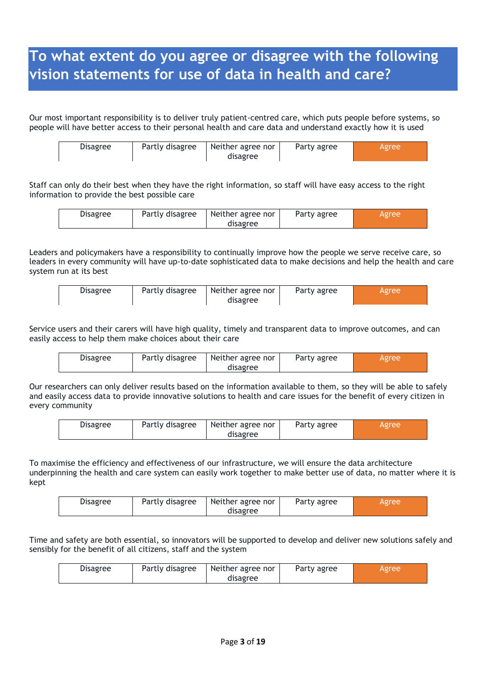# **To what extent do you agree or disagree with the following vision statements for use of data in health and care?**

Our most important responsibility is to deliver truly patient-centred care, which puts people before systems, so people will have better access to their personal health and care data and understand exactly how it is used

| Neither agree nor<br>Partly disagree<br><b>Disagree</b><br>Party agree<br><b>Agree</b><br>disagree |  |  |  |  |  |  |
|----------------------------------------------------------------------------------------------------|--|--|--|--|--|--|
|----------------------------------------------------------------------------------------------------|--|--|--|--|--|--|

Staff can only do their best when they have the right information, so staff will have easy access to the right information to provide the best possible care

|  | Partly disagree<br>Disagree | Neither agree nor<br>Party agree<br>Agree<br>disagree |  |
|--|-----------------------------|-------------------------------------------------------|--|
|--|-----------------------------|-------------------------------------------------------|--|

Leaders and policymakers have a responsibility to continually improve how the people we serve receive care, so leaders in every community will have up-to-date sophisticated data to make decisions and help the health and care system run at its best

| Partly disagree<br>Neither agree nor<br><b>Disagree</b><br>Party agree<br>disagree | Agree |
|------------------------------------------------------------------------------------|-------|
|------------------------------------------------------------------------------------|-------|

Service users and their carers will have high quality, timely and transparent data to improve outcomes, and can easily access to help them make choices about their care

| <b>Disagree</b> | Partly disagree | Neither agree nor<br>disagree | Party agree | Agree |
|-----------------|-----------------|-------------------------------|-------------|-------|
|                 |                 |                               |             |       |

Our researchers can only deliver results based on the information available to them, so they will be able to safely and easily access data to provide innovative solutions to health and care issues for the benefit of every citizen in every community

| <b>Disagree</b> | Partly disagree | Neither agree nor | Party agree | Agree |
|-----------------|-----------------|-------------------|-------------|-------|
|                 |                 | disagree          |             |       |

To maximise the efficiency and effectiveness of our infrastructure, we will ensure the data architecture underpinning the health and care system can easily work together to make better use of data, no matter where it is kept

| Partly disagree<br><b>Disagree</b> | Neither agree nor<br>disagree | Party agree | Agree |
|------------------------------------|-------------------------------|-------------|-------|
|------------------------------------|-------------------------------|-------------|-------|

Time and safety are both essential, so innovators will be supported to develop and deliver new solutions safely and sensibly for the benefit of all citizens, staff and the system

| <b>Disagree</b> | Partly disagree | Neither agree nor | Party agree | Agree |
|-----------------|-----------------|-------------------|-------------|-------|
|                 |                 | disagree          |             |       |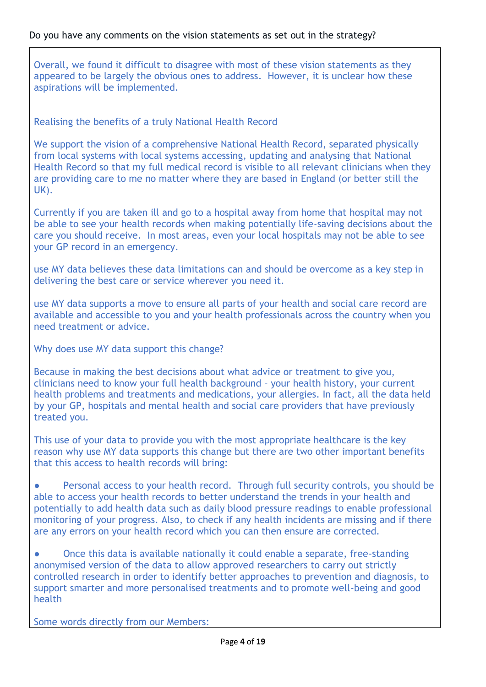Overall, we found it difficult to disagree with most of these vision statements as they appeared to be largely the obvious ones to address. However, it is unclear how these aspirations will be implemented.

Realising the benefits of a truly National Health Record

We support the vision of a comprehensive National Health Record, separated physically from local systems with local systems accessing, updating and analysing that National Health Record so that my full medical record is visible to all relevant clinicians when they are providing care to me no matter where they are based in England (or better still the UK).

Currently if you are taken ill and go to a hospital away from home that hospital may not be able to see your health records when making potentially life-saving decisions about the care you should receive. In most areas, even your local hospitals may not be able to see your GP record in an emergency.

use MY data believes these data limitations can and should be overcome as a key step in delivering the best care or service wherever you need it.

use MY data supports a move to ensure all parts of your health and social care record are available and accessible to you and your health professionals across the country when you need treatment or advice.

Why does use MY data support this change?

Because in making the best decisions about what advice or treatment to give you, clinicians need to know your full health background – your health history, your current health problems and treatments and medications, your allergies. In fact, all the data held by your GP, hospitals and mental health and social care providers that have previously treated you.

This use of your data to provide you with the most appropriate healthcare is the key reason why use MY data supports this change but there are two other important benefits that this access to health records will bring:

Personal access to your health record. Through full security controls, you should be able to access your health records to better understand the trends in your health and potentially to add health data such as daily blood pressure readings to enable professional monitoring of your progress. Also, to check if any health incidents are missing and if there are any errors on your health record which you can then ensure are corrected.

● Once this data is available nationally it could enable a separate, free-standing anonymised version of the data to allow approved researchers to carry out strictly controlled research in order to identify better approaches to prevention and diagnosis, to support smarter and more personalised treatments and to promote well-being and good health

Some words directly from our Members: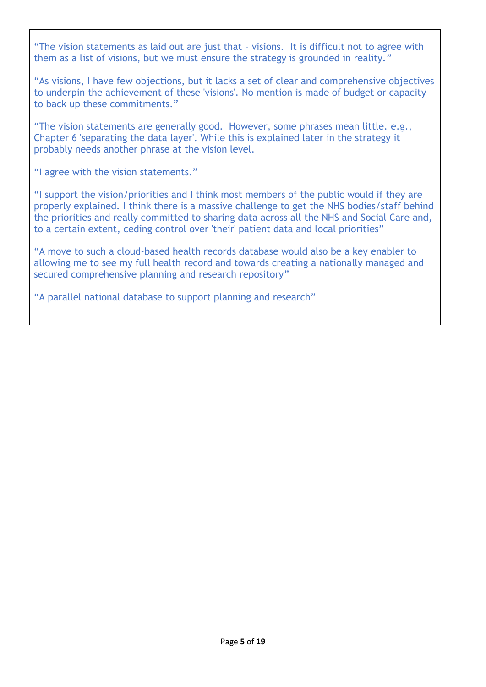"The vision statements as laid out are just that – visions. It is difficult not to agree with them as a list of visions, but we must ensure the strategy is grounded in reality."

"As visions, I have few objections, but it lacks a set of clear and comprehensive objectives to underpin the achievement of these 'visions'. No mention is made of budget or capacity to back up these commitments."

"The vision statements are generally good. However, some phrases mean little. e.g., Chapter 6 'separating the data layer'. While this is explained later in the strategy it probably needs another phrase at the vision level.

"I agree with the vision statements."

"I support the vision/priorities and I think most members of the public would if they are properly explained. I think there is a massive challenge to get the NHS bodies/staff behind the priorities and really committed to sharing data across all the NHS and Social Care and, to a certain extent, ceding control over 'their' patient data and local priorities"

"A move to such a cloud-based health records database would also be a key enabler to allowing me to see my full health record and towards creating a nationally managed and secured comprehensive planning and research repository"

"A parallel national database to support planning and research"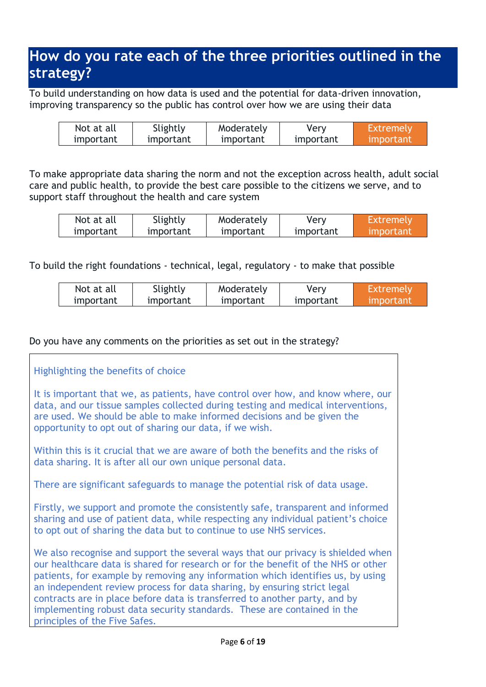# **How do you rate each of the three priorities outlined in the strategy?**

To build understanding on how data is used and the potential for data-driven innovation, improving transparency so the public has control over how we are using their data

| Not at all | Slightly  | Moderately | Verv      | Extremely        |
|------------|-----------|------------|-----------|------------------|
| important  | important | important  | important | <u>Important</u> |

To make appropriate data sharing the norm and not the exception across health, adult social care and public health, to provide the best care possible to the citizens we serve, and to support staff throughout the health and care system

| Not at all | Slightly  | Moderately | Very      | Extremely  |
|------------|-----------|------------|-----------|------------|
| important  | important | important  | important | umportant' |

To build the right foundations - technical, legal, regulatory - to make that possible

| Not at all | Slightly  | Moderately | Very      | Extremely |
|------------|-----------|------------|-----------|-----------|
| important  | important | important  | important | important |

### Do you have any comments on the priorities as set out in the strategy?

### Highlighting the benefits of choice It is important that we, as patients, have control over how, and know where, our data, and our tissue samples collected during testing and medical interventions, are used. We should be able to make informed decisions and be given the opportunity to opt out of sharing our data, if we wish. Within this is it crucial that we are aware of both the benefits and the risks of data sharing. It is after all our own unique personal data. There are significant safeguards to manage the potential risk of data usage. Firstly, we support and promote the consistently safe, transparent and informed sharing and use of patient data, while respecting any individual patient's choice to opt out of sharing the data but to continue to use NHS services. We also recognise and support the several ways that our privacy is shielded when our healthcare data is shared for research or for the benefit of the NHS or other patients, for example by removing any information which identifies us, by using an independent review process for data sharing, by ensuring strict legal contracts are in place before data is transferred to another party, and by implementing robust data security standards. These are contained in the principles of the Five Safes.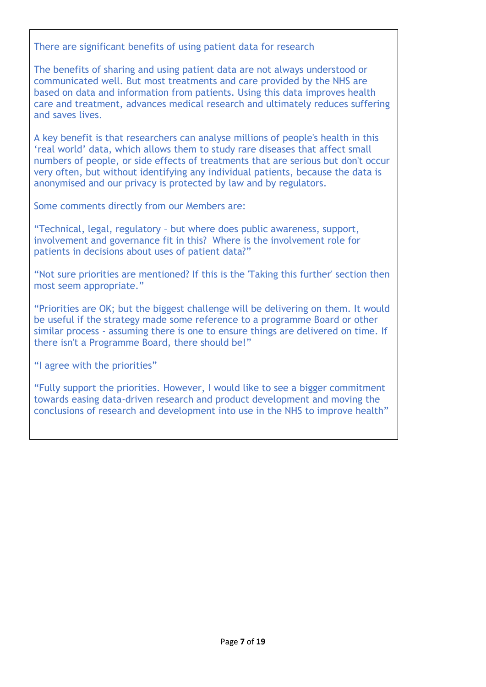There are significant benefits of using patient data for research

The benefits of sharing and using patient data are not always understood or communicated well. But most treatments and care provided by the NHS are based on data and information from patients. Using this data improves health care and treatment, advances medical research and ultimately reduces suffering and saves lives.

A key benefit is that researchers can analyse millions of people's health in this 'real world' data, which allows them to study rare diseases that affect small numbers of people, or side effects of treatments that are serious but don't occur very often, but without identifying any individual patients, because the data is anonymised and our privacy is protected by law and by regulators.

Some comments directly from our Members are:

"Technical, legal, regulatory – but where does public awareness, support, involvement and governance fit in this? Where is the involvement role for patients in decisions about uses of patient data?"

"Not sure priorities are mentioned? If this is the 'Taking this further' section then most seem appropriate."

"Priorities are OK; but the biggest challenge will be delivering on them. It would be useful if the strategy made some reference to a programme Board or other similar process - assuming there is one to ensure things are delivered on time. If there isn't a Programme Board, there should be!"

"I agree with the priorities"

"Fully support the priorities. However, I would like to see a bigger commitment towards easing data-driven research and product development and moving the conclusions of research and development into use in the NHS to improve health"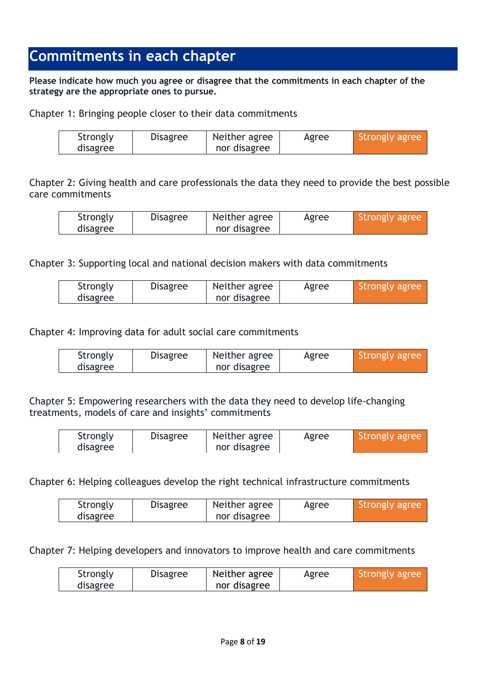## **[Commitments in each chapter](https://consultations.dhsc.gov.uk/60d3066e28b714157343464c/8d02b313-d82a-45be-8f6c-7ce044ea044e/4efb64b7-c43f-4733-9761-0d76031fcfb1)**

**Please indicate how much you agree or disagree that the commitments in each chapter of the strategy are the appropriate ones to pursue.**

Chapter 1: Bringing people closer to their data commitments

| Strongly | <b>Disagree</b> | Neither agree | Agree | Strongly agree |
|----------|-----------------|---------------|-------|----------------|
| disagree |                 | nor disagree  |       |                |

Chapter 2: Giving health and care professionals the data they need to provide the best possible care commitments

| Strongly | <b>Disagree</b> | Neither agree | Agree | Strongly agree |
|----------|-----------------|---------------|-------|----------------|
| disagree |                 | nor disagree  |       |                |

Chapter 3: Supporting local and national decision makers with data commitments

| Strongly | <b>Disagree</b> | Neither agree | Agree | Strongly agree |
|----------|-----------------|---------------|-------|----------------|
| disagree |                 | nor disagree  |       |                |

Chapter 4: Improving data for adult social care commitments

| Strongly | <b>Disagree</b> | Neither agree | Agree | Strongly agree |
|----------|-----------------|---------------|-------|----------------|
| disagree |                 | nor disagree  |       |                |

Chapter 5: Empowering researchers with the data they need to develop life-changing treatments, models of care and insights' commitments

| Strongly | <b>Disagree</b> | Neither agree | Agree | Strongly agree |
|----------|-----------------|---------------|-------|----------------|
| disagree |                 | nor disagree  |       |                |

Chapter 6: Helping colleagues develop the right technical infrastructure commitments

| Strongly | <b>Disagree</b> | Neither agree | Agree | I Strongly agree |
|----------|-----------------|---------------|-------|------------------|
| disagree |                 | nor disagree  |       |                  |

Chapter 7: Helping developers and innovators to improve health and care commitments

| Strongly | <b>Disagree</b> | Neither agree | Agree | Strongly agree |
|----------|-----------------|---------------|-------|----------------|
| disagree |                 | nor disagree  |       |                |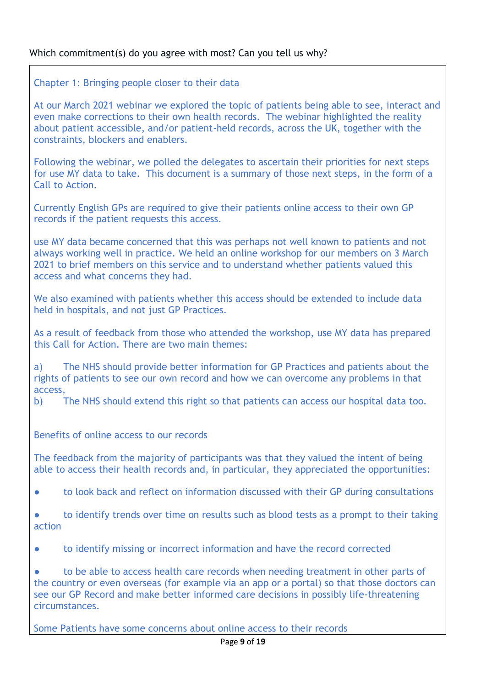Chapter 1: Bringing people closer to their data

At our March 2021 webinar we explored the topic of patients being able to see, interact and even make corrections to their own health records. The webinar highlighted the reality about patient accessible, and/or patient-held records, across the UK, together with the constraints, blockers and enablers.

Following the webinar, we polled the delegates to ascertain their priorities for next steps for use MY data to take. This document is a summary of those next steps, in the form of a Call to Action.

Currently English GPs are required to give their patients online access to their own GP records if the patient requests this access.

use MY data became concerned that this was perhaps not well known to patients and not always working well in practice. We held an online workshop for our members on 3 March 2021 to brief members on this service and to understand whether patients valued this access and what concerns they had.

We also examined with patients whether this access should be extended to include data held in hospitals, and not just GP Practices.

As a result of feedback from those who attended the workshop, use MY data has prepared this Call for Action. There are two main themes:

a) The NHS should provide better information for GP Practices and patients about the rights of patients to see our own record and how we can overcome any problems in that access,

b) The NHS should extend this right so that patients can access our hospital data too.

Benefits of online access to our records

The feedback from the majority of participants was that they valued the intent of being able to access their health records and, in particular, they appreciated the opportunities:

● to look back and reflect on information discussed with their GP during consultations

● to identify trends over time on results such as blood tests as a prompt to their taking action

● to identify missing or incorrect information and have the record corrected

to be able to access health care records when needing treatment in other parts of the country or even overseas (for example via an app or a portal) so that those doctors can see our GP Record and make better informed care decisions in possibly life-threatening circumstances.

Some Patients have some concerns about online access to their records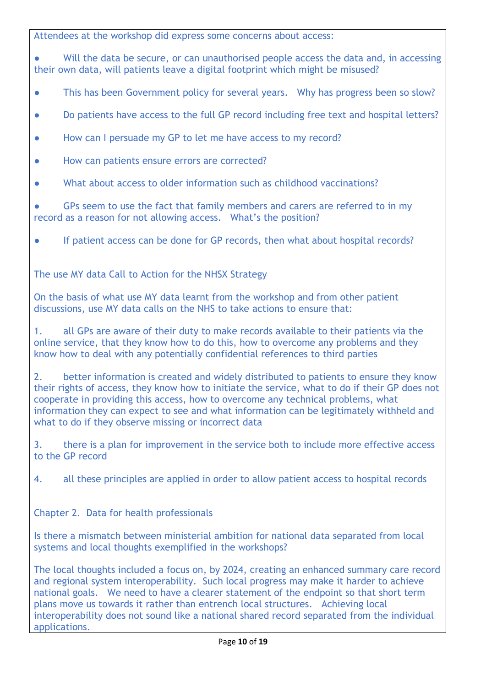Attendees at the workshop did express some concerns about access:

● Will the data be secure, or can unauthorised people access the data and, in accessing their own data, will patients leave a digital footprint which might be misused?

- This has been Government policy for several years. Why has progress been so slow?
- Do patients have access to the full GP record including free text and hospital letters?
- How can I persuade my GP to let me have access to my record?
- How can patients ensure errors are corrected?
- What about access to older information such as childhood vaccinations?

● GPs seem to use the fact that family members and carers are referred to in my record as a reason for not allowing access. What's the position?

● If patient access can be done for GP records, then what about hospital records?

The use MY data Call to Action for the NHSX Strategy

On the basis of what use MY data learnt from the workshop and from other patient discussions, use MY data calls on the NHS to take actions to ensure that:

1. all GPs are aware of their duty to make records available to their patients via the online service, that they know how to do this, how to overcome any problems and they know how to deal with any potentially confidential references to third parties

2. better information is created and widely distributed to patients to ensure they know their rights of access, they know how to initiate the service, what to do if their GP does not cooperate in providing this access, how to overcome any technical problems, what information they can expect to see and what information can be legitimately withheld and what to do if they observe missing or incorrect data

3. there is a plan for improvement in the service both to include more effective access to the GP record

4. all these principles are applied in order to allow patient access to hospital records

Chapter 2. Data for health professionals

Is there a mismatch between ministerial ambition for national data separated from local systems and local thoughts exemplified in the workshops?

The local thoughts included a focus on, by 2024, creating an enhanced summary care record and regional system interoperability. Such local progress may make it harder to achieve national goals. We need to have a clearer statement of the endpoint so that short term plans move us towards it rather than entrench local structures. Achieving local interoperability does not sound like a national shared record separated from the individual applications.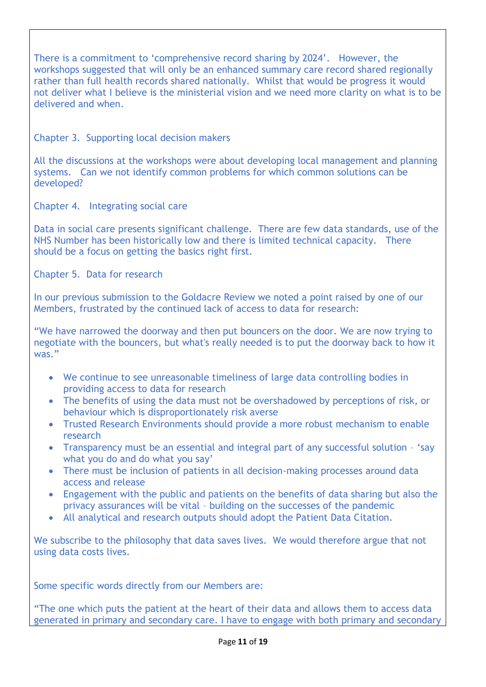There is a commitment to 'comprehensive record sharing by 2024'. However, the workshops suggested that will only be an enhanced summary care record shared regionally rather than full health records shared nationally. Whilst that would be progress it would not deliver what I believe is the ministerial vision and we need more clarity on what is to be delivered and when.

Chapter 3. Supporting local decision makers

All the discussions at the workshops were about developing local management and planning systems. Can we not identify common problems for which common solutions can be developed?

Chapter 4. Integrating social care

Data in social care presents significant challenge. There are few data standards, use of the NHS Number has been historically low and there is limited technical capacity. There should be a focus on getting the basics right first.

Chapter 5. Data for research

In our previous submission to the Goldacre Review we noted a point raised by one of our Members, frustrated by the continued lack of access to data for research:

"We have narrowed the doorway and then put bouncers on the door. We are now trying to negotiate with the bouncers, but what's really needed is to put the doorway back to how it was."

- We continue to see unreasonable timeliness of large data controlling bodies in providing access to data for research
- The benefits of using the data must not be overshadowed by perceptions of risk, or behaviour which is disproportionately risk averse
- Trusted Research Environments should provide a more robust mechanism to enable research
- Transparency must be an essential and integral part of any successful solution 'say what you do and do what you say'
- There must be inclusion of patients in all decision-making processes around data access and release
- Engagement with the public and patients on the benefits of data sharing but also the privacy assurances will be vital – building on the successes of the pandemic
- All analytical and research outputs should adopt the Patient Data Citation.

We subscribe to the philosophy that data saves lives. We would therefore argue that not using data costs lives.

Some specific words directly from our Members are:

"The one which puts the patient at the heart of their data and allows them to access data generated in primary and secondary care. I have to engage with both primary and secondary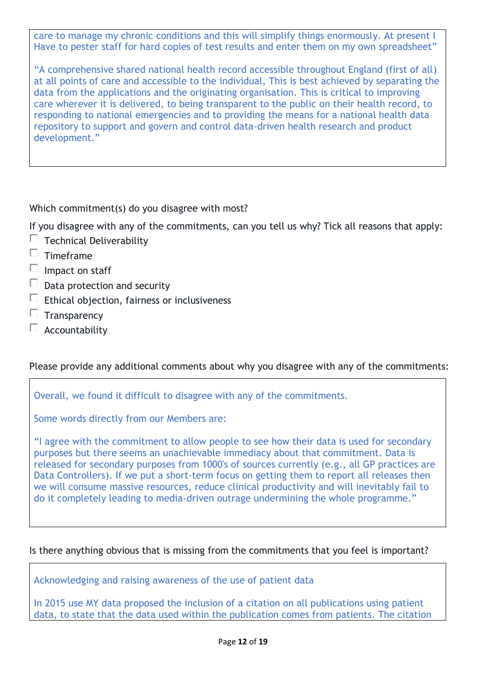care to manage my chronic conditions and this will simplify things enormously. At present I Have to pester staff for hard copies of test results and enter them on my own spreadsheet"

"A comprehensive shared national health record accessible throughout England (first of all) at all points of care and accessible to the individual, This is best achieved by separating the data from the applications and the originating organisation. This is critical to improving care wherever it is delivered, to being transparent to the public on their health record, to responding to national emergencies and to providing the means for a national health data repository to support and govern and control data-driven health research and product development."

Which commitment(s) do you disagree with most?

If you disagree with any of the commitments, can you tell us why? Tick all reasons that apply:

- $\Box$  Technical Deliverability
- $\Box$  Timeframe
- $\Box$  Impact on staff
- $\Box$ Data protection and security
- $\Box$ Ethical objection, fairness or inclusiveness
- $\Box$ **Transparency**
- $\Box$ Accountability

### Please provide any additional comments about why you disagree with any of the commitments:

Overall, we found it difficult to disagree with any of the commitments.

Some words directly from our Members are:

"I agree with the commitment to allow people to see how their data is used for secondary purposes but there seems an unachievable immediacy about that commitment. Data is released for secondary purposes from 1000's of sources currently (e.g., all GP practices are Data Controllers). If we put a short-term focus on getting them to report all releases then we will consume massive resources, reduce clinical productivity and will inevitably fail to do it completely leading to media-driven outrage undermining the whole programme."

### Is there anything obvious that is missing from the commitments that you feel is important?

Acknowledging and raising awareness of the use of patient data

In 2015 use MY data proposed the inclusion of a citation on all publications using patient data, to state that the data used within the publication comes from patients. The citation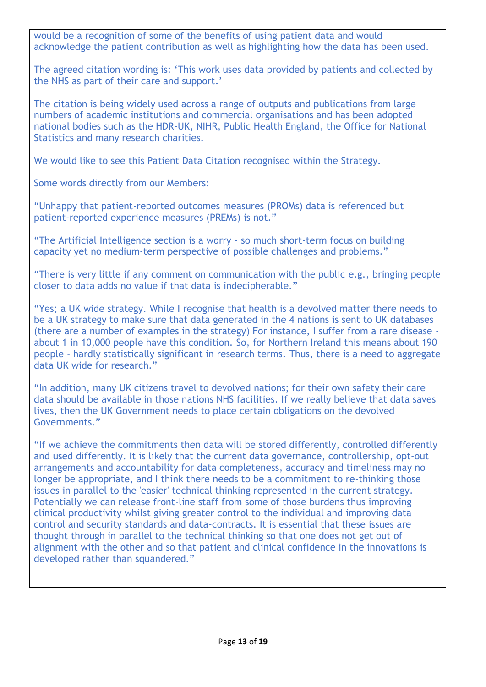would be a recognition of some of the benefits of using patient data and would acknowledge the patient contribution as well as highlighting how the data has been used.

The agreed citation wording is: 'This work uses data provided by patients and collected by the NHS as part of their care and support.'

The citation is being widely used across a range of outputs and publications from large numbers of academic institutions and commercial organisations and has been adopted national bodies such as the HDR-UK, NIHR, Public Health England, the Office for National Statistics and many research charities.

We would like to see this Patient Data Citation recognised within the Strategy.

Some words directly from our Members:

"Unhappy that patient-reported outcomes measures (PROMs) data is referenced but patient-reported experience measures (PREMs) is not."

"The Artificial Intelligence section is a worry - so much short-term focus on building capacity yet no medium-term perspective of possible challenges and problems."

"There is very little if any comment on communication with the public e.g., bringing people closer to data adds no value if that data is indecipherable."

"Yes; a UK wide strategy. While I recognise that health is a devolved matter there needs to be a UK strategy to make sure that data generated in the 4 nations is sent to UK databases (there are a number of examples in the strategy) For instance, I suffer from a rare disease about 1 in 10,000 people have this condition. So, for Northern Ireland this means about 190 people - hardly statistically significant in research terms. Thus, there is a need to aggregate data UK wide for research."

"In addition, many UK citizens travel to devolved nations; for their own safety their care data should be available in those nations NHS facilities. If we really believe that data saves lives, then the UK Government needs to place certain obligations on the devolved Governments."

"If we achieve the commitments then data will be stored differently, controlled differently and used differently. It is likely that the current data governance, controllership, opt-out arrangements and accountability for data completeness, accuracy and timeliness may no longer be appropriate, and I think there needs to be a commitment to re-thinking those issues in parallel to the 'easier' technical thinking represented in the current strategy. Potentially we can release front-line staff from some of those burdens thus improving clinical productivity whilst giving greater control to the individual and improving data control and security standards and data-contracts. It is essential that these issues are thought through in parallel to the technical thinking so that one does not get out of alignment with the other and so that patient and clinical confidence in the innovations is developed rather than squandered."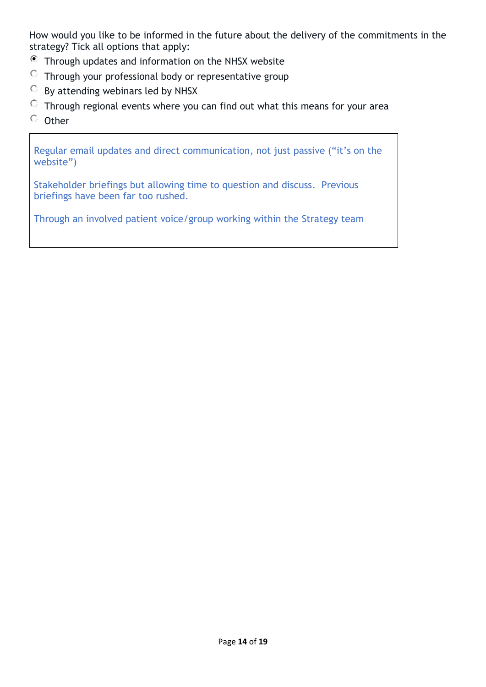How would you like to be informed in the future about the delivery of the commitments in the strategy? Tick all options that apply:

- Through updates and information on the NHSX website
- $\circ$  Through your professional body or representative group
- $\circ$ By attending webinars led by NHSX
- $\degree$  Through regional events where you can find out what this means for your area
- $\circ$  Other

Regular email updates and direct communication, not just passive ("it's on the website")

Stakeholder briefings but allowing time to question and discuss. Previous briefings have been far too rushed.

Through an involved patient voice/group working within the Strategy team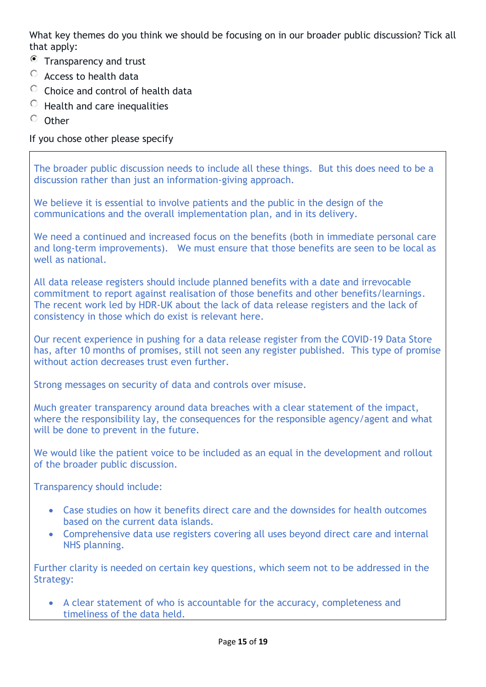What key themes do you think we should be focusing on in our broader public discussion? Tick all that apply:

- $\bullet$  Transparency and trust
- Access to health data
- $\bigcirc$ Choice and control of health data
- $\circ$  Health and care inequalities
- $O$  Other

If you chose other please specify

The broader public discussion needs to include all these things. But this does need to be a discussion rather than just an information-giving approach.

We believe it is essential to involve patients and the public in the design of the communications and the overall implementation plan, and in its delivery.

We need a continued and increased focus on the benefits (both in immediate personal care and long-term improvements). We must ensure that those benefits are seen to be local as well as national.

All data release registers should include planned benefits with a date and irrevocable commitment to report against realisation of those benefits and other benefits/learnings. The recent work led by HDR-UK about the lack of data release registers and the lack of consistency in those which do exist is relevant here.

Our recent experience in pushing for a data release register from the COVID-19 Data Store has, after 10 months of promises, still not seen any register published. This type of promise without action decreases trust even further.

Strong messages on security of data and controls over misuse.

Much greater transparency around data breaches with a clear statement of the impact, where the responsibility lay, the consequences for the responsible agency/agent and what will be done to prevent in the future.

We would like the patient voice to be included as an equal in the development and rollout of the broader public discussion.

Transparency should include:

- Case studies on how it benefits direct care and the downsides for health outcomes based on the current data islands.
- Comprehensive data use registers covering all uses beyond direct care and internal NHS planning.

Further clarity is needed on certain key questions, which seem not to be addressed in the Strategy:

• A clear statement of who is accountable for the accuracy, completeness and timeliness of the data held.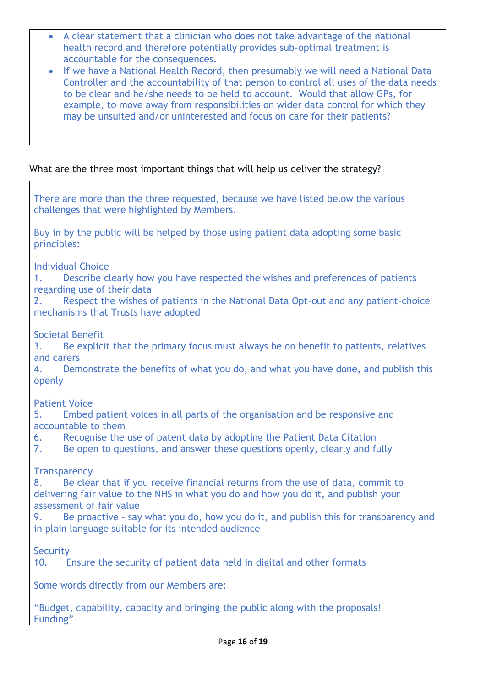- A clear statement that a clinician who does not take advantage of the national health record and therefore potentially provides sub-optimal treatment is accountable for the consequences.
- If we have a National Health Record, then presumably we will need a National Data Controller and the accountability of that person to control all uses of the data needs to be clear and he/she needs to be held to account. Would that allow GPs, for example, to move away from responsibilities on wider data control for which they may be unsuited and/or uninterested and focus on care for their patients?

### What are the three most important things that will help us deliver the strategy?

| There are more than the three requested, because we have listed below the various<br>challenges that were highlighted by Members.                                                                                                                                                                                                                                                    |
|--------------------------------------------------------------------------------------------------------------------------------------------------------------------------------------------------------------------------------------------------------------------------------------------------------------------------------------------------------------------------------------|
| Buy in by the public will be helped by those using patient data adopting some basic<br>principles:                                                                                                                                                                                                                                                                                   |
| <b>Individual Choice</b><br>Describe clearly how you have respected the wishes and preferences of patients<br>1.<br>regarding use of their data<br>Respect the wishes of patients in the National Data Opt-out and any patient-choice<br>2.<br>mechanisms that Trusts have adopted                                                                                                   |
| <b>Societal Benefit</b><br>Be explicit that the primary focus must always be on benefit to patients, relatives<br>3.<br>and carers<br>Demonstrate the benefits of what you do, and what you have done, and publish this<br>4.<br>openly                                                                                                                                              |
| <b>Patient Voice</b><br>Embed patient voices in all parts of the organisation and be responsive and<br>5.<br>accountable to them<br>Recognise the use of patent data by adopting the Patient Data Citation<br>6.<br>Be open to questions, and answer these questions openly, clearly and fully<br>7.                                                                                 |
| <b>Transparency</b><br>Be clear that if you receive financial returns from the use of data, commit to<br>8.<br>delivering fair value to the NHS in what you do and how you do it, and publish your<br>assessment of fair value<br>Be proactive - say what you do, how you do it, and publish this for transparency and<br>9.<br>in plain language suitable for its intended audience |
| Security<br>Ensure the security of patient data held in digital and other formats<br>10.                                                                                                                                                                                                                                                                                             |
| Some words directly from our Members are:                                                                                                                                                                                                                                                                                                                                            |
| "Budget, capability, capacity and bringing the public along with the proposals!<br>Funding"                                                                                                                                                                                                                                                                                          |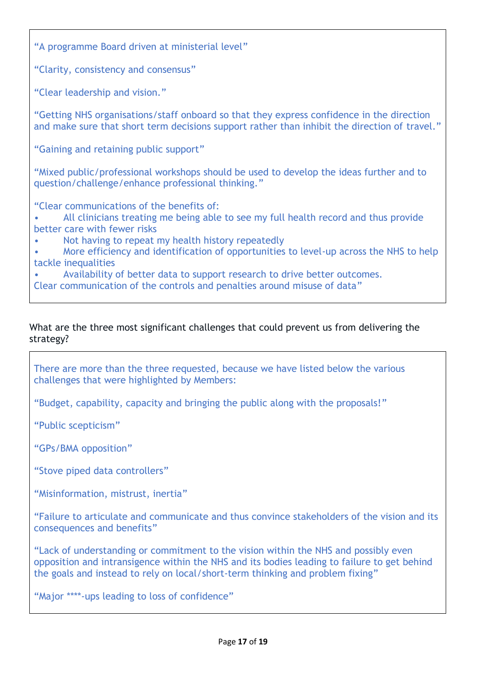"A programme Board driven at ministerial level"

"Clarity, consistency and consensus"

"Clear leadership and vision."

"Getting NHS organisations/staff onboard so that they express confidence in the direction and make sure that short term decisions support rather than inhibit the direction of travel."

"Gaining and retaining public support"

"Mixed public/professional workshops should be used to develop the ideas further and to question/challenge/enhance professional thinking."

"Clear communications of the benefits of:

• All clinicians treating me being able to see my full health record and thus provide better care with fewer risks

• Not having to repeat my health history repeatedly

• More efficiency and identification of opportunities to level-up across the NHS to help tackle inequalities

• Availability of better data to support research to drive better outcomes.

Clear communication of the controls and penalties around misuse of data"

### What are the three most significant challenges that could prevent us from delivering the strategy?

There are more than the three requested, because we have listed below the various challenges that were highlighted by Members:

"Budget, capability, capacity and bringing the public along with the proposals!"

"Public scepticism"

"GPs/BMA opposition"

"Stove piped data controllers"

"Misinformation, mistrust, inertia"

"Failure to articulate and communicate and thus convince stakeholders of the vision and its consequences and benefits"

"Lack of understanding or commitment to the vision within the NHS and possibly even opposition and intransigence within the NHS and its bodies leading to failure to get behind the goals and instead to rely on local/short-term thinking and problem fixing"

"Major \*\*\*\*-ups leading to loss of confidence"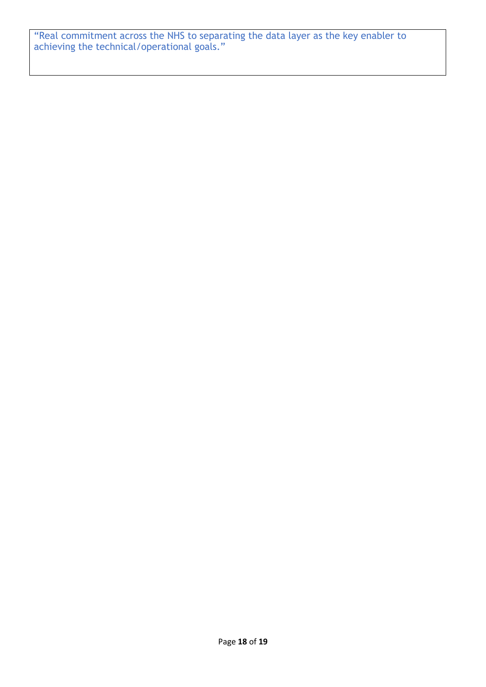"Real commitment across the NHS to separating the data layer as the key enabler to achieving the technical/operational goals."